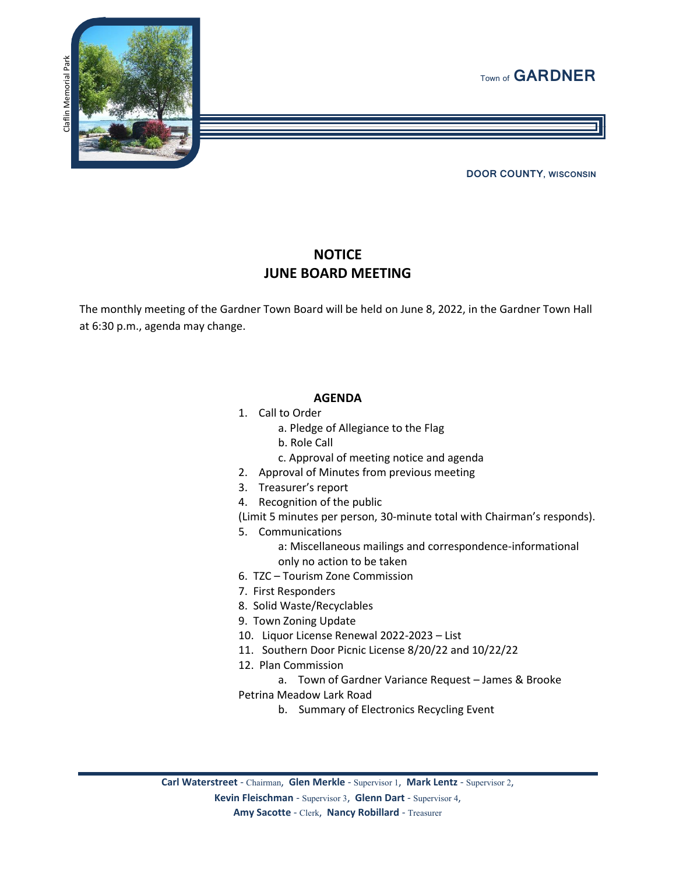



**DOOR COUNTY, WISCONSIN**

## **NOTICE JUNE BOARD MEETING**

The monthly meeting of the Gardner Town Board will be held on June 8, 2022, in the Gardner Town Hall at 6:30 p.m., agenda may change.

## **AGENDA**

- 1. Call to Order
	- a. Pledge of Allegiance to the Flag
	- b. Role Call
	- c. Approval of meeting notice and agenda
- 2. Approval of Minutes from previous meeting
- 3. Treasurer's report
- 4. Recognition of the public

(Limit 5 minutes per person, 30-minute total with Chairman's responds).

- 5. Communications a: Miscellaneous mailings and correspondence-informational only no action to be taken
- 6. TZC Tourism Zone Commission
- 7. First Responders
- 8. Solid Waste/Recyclables
- 9. Town Zoning Update
- 10. Liquor License Renewal 2022-2023 List
- 11. Southern Door Picnic License 8/20/22 and 10/22/22
- 12. Plan Commission
	- a. Town of Gardner Variance Request James & Brooke
- Petrina Meadow Lark Road
	- b. Summary of Electronics Recycling Event